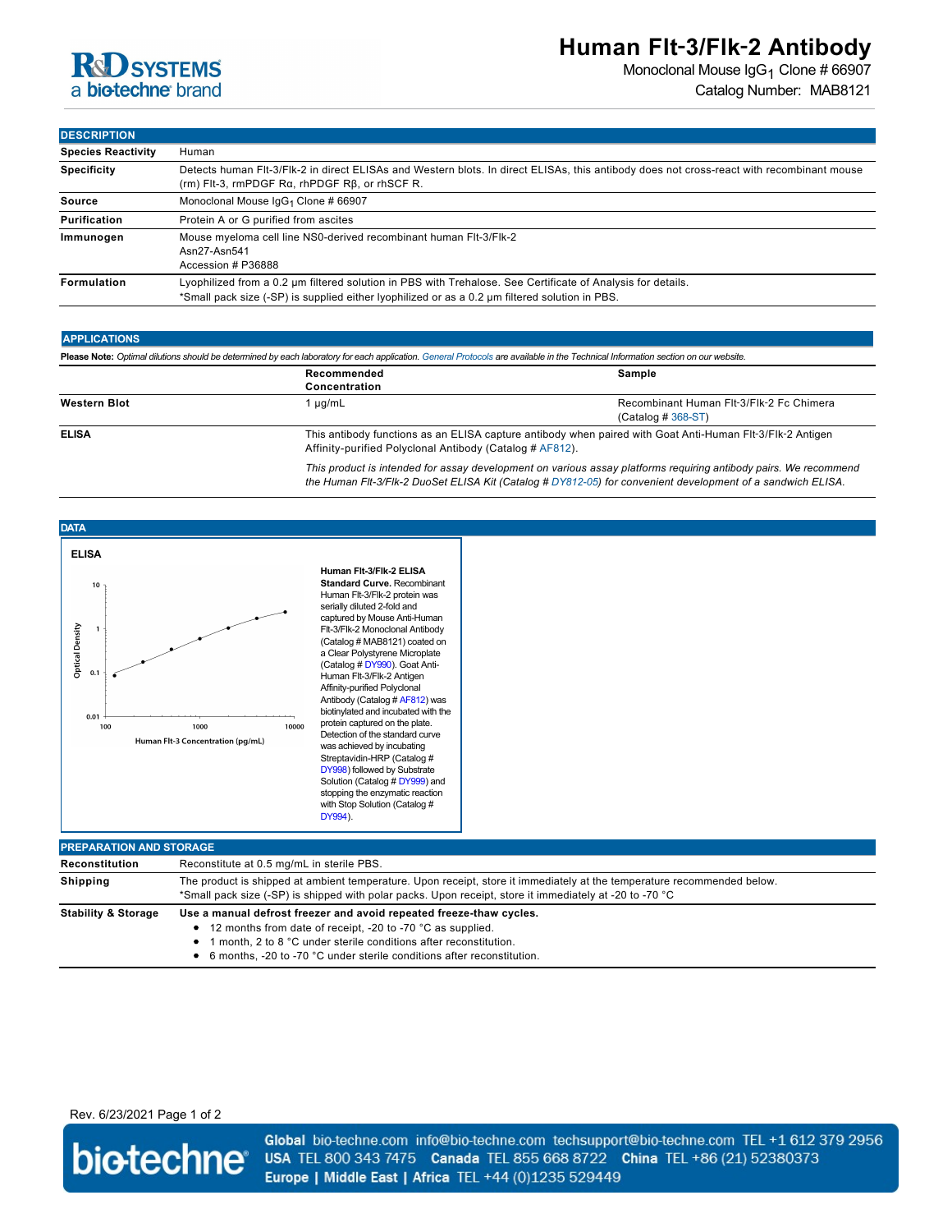

## **Human Flt**‑**3/Flk**‑**2 Antibody**

Monoclonal Mouse IgG<sub>1</sub> Clone # 66907 Catalog Number: MAB8121

**DESCRIPTION**

| ----------                |                                                                                                                                                                                                               |  |
|---------------------------|---------------------------------------------------------------------------------------------------------------------------------------------------------------------------------------------------------------|--|
| <b>Species Reactivity</b> | Human                                                                                                                                                                                                         |  |
| <b>Specificity</b>        | Detects human FIt-3/FIk-2 in direct ELISAs and Western blots. In direct ELISAs, this antibody does not cross-react with recombinant mouse<br>$(rm)$ Fit-3, $rmpDGF$ Ra, $rhpDGF$ R $\beta$ , or $rhSCF$ R.    |  |
| Source                    | Monoclonal Mouse IgG <sub>1</sub> Clone # 66907                                                                                                                                                               |  |
| Purification              | Protein A or G purified from ascites                                                                                                                                                                          |  |
| Immunogen                 | Mouse myeloma cell line NS0-derived recombinant human Flt-3/Flk-2<br>Asn27-Asn541<br>Accession # P36888                                                                                                       |  |
| Formulation               | Lyophilized from a 0.2 um filtered solution in PBS with Trehalose. See Certificate of Analysis for details.<br>*Small pack size (-SP) is supplied either lyophilized or as a 0.2 um filtered solution in PBS. |  |

### **APPLICATIONS**

| Please Note: Optimal dilutions should be determined by each laboratory for each application. General Protocols are available in the Technical Information section on our website. |                                                                                                                                                                       |                                                                  |  |
|-----------------------------------------------------------------------------------------------------------------------------------------------------------------------------------|-----------------------------------------------------------------------------------------------------------------------------------------------------------------------|------------------------------------------------------------------|--|
|                                                                                                                                                                                   | Recommended<br>Concentration                                                                                                                                          | Sample                                                           |  |
| <b>Western Blot</b>                                                                                                                                                               | 1 µg/mL                                                                                                                                                               | Recombinant Human Flt-3/Flk-2 Fc Chimera<br>$(Cataloq # 368-ST)$ |  |
| <b>ELISA</b>                                                                                                                                                                      | This antibody functions as an ELISA capture antibody when paired with Goat Anti-Human Flt-3/Flk-2 Antigen<br>Affinity-purified Polyclonal Antibody (Catalog # AF812). |                                                                  |  |
|                                                                                                                                                                                   | This product is intended for assay development on various assay platforms requiring antibody pairs. We recommend                                                      |                                                                  |  |

*This product is intended for assay development on various assay platforms requiring antibody pairs. We recommend the Human Flt-3/Flk-2 DuoSet ELISA Kit (Catalog # [DY812-05\)](http://www.rndsystems.com/product_results.aspx?k=DY812-05) for convenient development of a sandwich ELISA.*



| Human Fit-3/Fik-2 ELISA             |
|-------------------------------------|
| <b>Standard Curve. Recombinant</b>  |
| Human Flt-3/Flk-2 protein was       |
| serially diluted 2-fold and         |
| captured by Mouse Anti-Human        |
| Flt-3/Flk-2 Monoclonal Antibody     |
| (Catalog # MAB8121) coated on       |
| a Clear Polystyrene Microplate      |
| (Catalog # DY990). Goat Anti-       |
| Human Flt-3/Flk-2 Antigen           |
| Affinity-purified Polyclonal        |
| Antibody (Catalog # AF812) was      |
| biotinylated and incubated with the |
| protein captured on the plate.      |
| Detection of the standard curve     |
| was achieved by incubating          |
| Streptavidin-HRP (Catalog #         |
| DY998) followed by Substrate        |
| Solution (Catalog # DY999) and      |
| stopping the enzymatic reaction     |
| with Stop Solution (Catalog #       |
| DY994).                             |
|                                     |

| <b>PREPARATION AND STORAGE</b> |                                                                                                                                                                                                                                                                                      |  |
|--------------------------------|--------------------------------------------------------------------------------------------------------------------------------------------------------------------------------------------------------------------------------------------------------------------------------------|--|
| Reconstitution                 | Reconstitute at 0.5 mg/mL in sterile PBS.                                                                                                                                                                                                                                            |  |
| <b>Shipping</b>                | The product is shipped at ambient temperature. Upon receipt, store it immediately at the temperature recommended below.<br>*Small pack size (-SP) is shipped with polar packs. Upon receipt, store it immediately at -20 to -70 °C                                                   |  |
| <b>Stability &amp; Storage</b> | Use a manual defrost freezer and avoid repeated freeze-thaw cycles.<br>• 12 months from date of receipt, -20 to -70 °C as supplied.<br>1 month, 2 to 8 °C under sterile conditions after reconstitution.<br>• 6 months, -20 to -70 °C under sterile conditions after reconstitution. |  |

Rev. 6/23/2021 Page 1 of 2



Global bio-techne.com info@bio-techne.com techsupport@bio-techne.com TEL +1 612 379 2956 USA TEL 800 343 7475 Canada TEL 855 668 8722 China TEL +86 (21) 52380373 Europe | Middle East | Africa TEL +44 (0)1235 529449